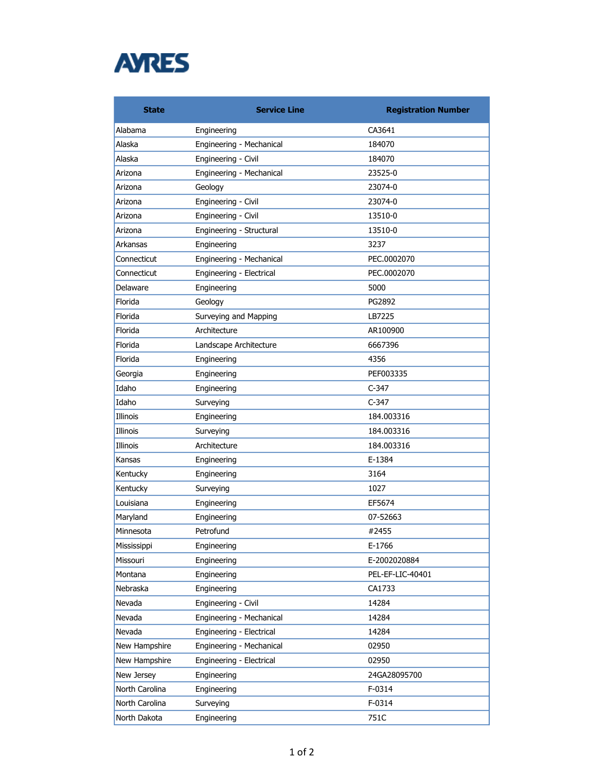

| <b>State</b>   | <b>Service Line</b>      | <b>Registration Number</b> |
|----------------|--------------------------|----------------------------|
| Alabama        | Engineering              | CA3641                     |
| Alaska         | Engineering - Mechanical | 184070                     |
| Alaska         | Engineering - Civil      | 184070                     |
| Arizona        | Engineering - Mechanical | 23525-0                    |
| Arizona        | Geology                  | 23074-0                    |
| Arizona        | Engineering - Civil      | 23074-0                    |
| Arizona        | Engineering - Civil      | 13510-0                    |
| Arizona        | Engineering - Structural | 13510-0                    |
| Arkansas       | Engineering              | 3237                       |
| Connecticut    | Engineering - Mechanical | PEC.0002070                |
| Connecticut    | Engineering - Electrical | PEC.0002070                |
| Delaware       | Engineering              | 5000                       |
| Florida        | Geology                  | PG2892                     |
| Florida        | Surveying and Mapping    | LB7225                     |
| Florida        | Architecture             | AR100900                   |
| Florida        | Landscape Architecture   | 6667396                    |
| Florida        | Engineering              | 4356                       |
| Georgia        | Engineering              | PEF003335                  |
| Idaho          | Engineering              | $C-347$                    |
| Idaho          | Surveying                | $C-347$                    |
| Illinois       | Engineering              | 184.003316                 |
| Illinois       | Surveying                | 184.003316                 |
| Illinois       | Architecture             | 184.003316                 |
| Kansas         | Engineering              | E-1384                     |
| Kentucky       | Engineering              | 3164                       |
| Kentucky       | Surveying                | 1027                       |
| Louisiana      | Engineering              | EF5674                     |
| Maryland       | Engineering              | 07-52663                   |
| Minnesota      | Petrofund                | #2455                      |
| Mississippi    | Engineering              | E-1766                     |
| Missouri       | Engineering              | E-2002020884               |
| Montana        | Engineering              | PEL-EF-LIC-40401           |
| Nebraska       | Engineering              | CA1733                     |
| Nevada         | Engineering - Civil      | 14284                      |
| Nevada         | Engineering - Mechanical | 14284                      |
| Nevada         | Engineering - Electrical | 14284                      |
| New Hampshire  | Engineering - Mechanical | 02950                      |
| New Hampshire  | Engineering - Electrical | 02950                      |
| New Jersey     | Engineering              | 24GA28095700               |
| North Carolina | Engineering              | F-0314                     |
| North Carolina | Surveying                | F-0314                     |
| North Dakota   | Engineering              | 751C                       |